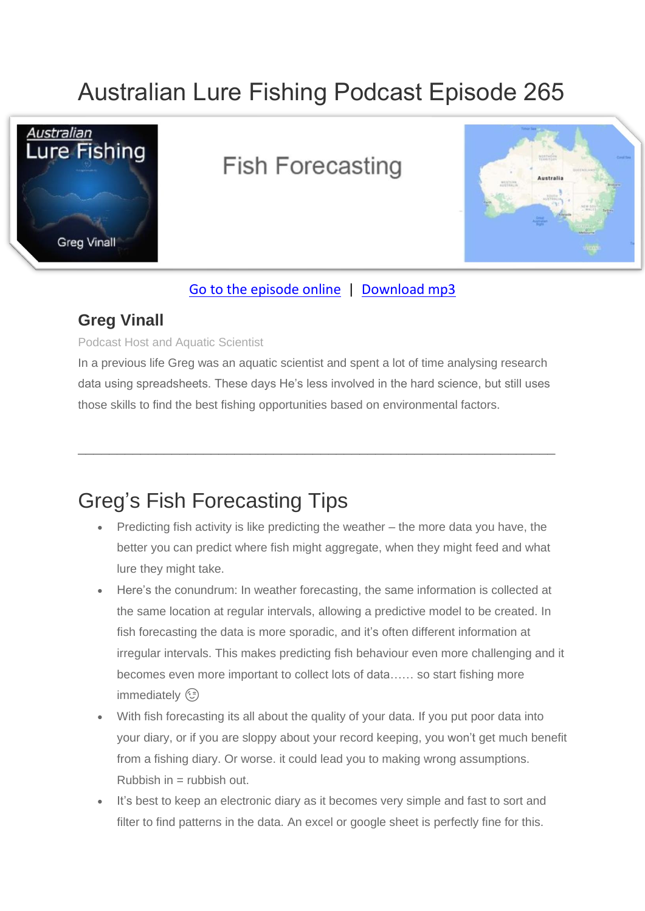# Australian Lure Fishing Podcast Episode 265



## **Fish Forecasting**



#### [Go to the episode online](https://doclures.com/fish-forecasting-with-greg-vinall/) | [Download mp3](https://traffic.libsyn.com/secure/doclures/fish-forecating-greg-vinall.mp3)

### **Greg Vinall**

Podcast Host and Aquatic Scientist

In a previous life Greg was an aquatic scientist and spent a lot of time analysing research data using spreadsheets. These days He's less involved in the hard science, but still uses those skills to find the best fishing opportunities based on environmental factors.

\_\_\_\_\_\_\_\_\_\_\_\_\_\_\_\_\_\_\_\_\_\_\_\_\_\_\_\_\_\_\_\_\_\_\_\_\_\_\_\_\_\_\_\_\_\_\_\_\_\_\_\_\_\_\_\_\_\_\_\_\_

## Greg's Fish Forecasting Tips

- Predicting fish activity is like predicting the weather the more data you have, the better you can predict where fish might aggregate, when they might feed and what lure they might take.
- Here's the conundrum: In weather forecasting, the same information is collected at the same location at regular intervals, allowing a predictive model to be created. In fish forecasting the data is more sporadic, and it's often different information at irregular intervals. This makes predicting fish behaviour even more challenging and it becomes even more important to collect lots of data…… so start fishing more immediately (3)
- With fish forecasting its all about the quality of your data. If you put poor data into your diary, or if you are sloppy about your record keeping, you won't get much benefit from a fishing diary. Or worse. it could lead you to making wrong assumptions.  $Rubbish$  in  $=$  rubbish out.
- It's best to keep an electronic diary as it becomes very simple and fast to sort and filter to find patterns in the data. An excel or google sheet is perfectly fine for this.